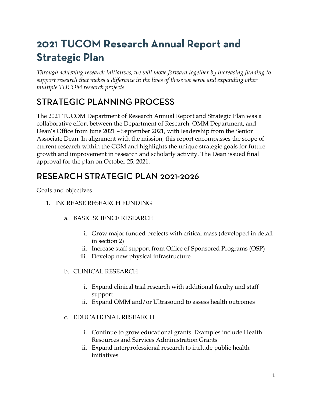# **2021 TUCOM Research Annual Report and Strategic Plan**

*Through achieving research initiatives, we will move forward together by increasing funding to support research that makes a difference in the lives of those we serve and expanding other multiple TUCOM research projects.*

## STRATEGIC PLANNING PROCESS

The 2021 TUCOM Department of Research Annual Report and Strategic Plan was a collaborative effort between the Department of Research, OMM Department, and Dean's Office from June 2021 – September 2021, with leadership from the Senior Associate Dean. In alignment with the mission, this report encompasses the scope of current research within the COM and highlights the unique strategic goals for future growth and improvement in research and scholarly activity. The Dean issued final approval for the plan on October 25, 2021.

## RESEARCH STRATEGIC PLAN 2021-2026

Goals and objectives

- 1. INCREASE RESEARCH FUNDING
	- a. BASIC SCIENCE RESEARCH
		- i. Grow major funded projects with critical mass (developed in detail in section 2)
		- ii. Increase staff support from Office of Sponsored Programs (OSP)
		- iii. Develop new physical infrastructure
	- b. CLINICAL RESEARCH
		- i. Expand clinical trial research with additional faculty and staff support
		- ii. Expand OMM and/or Ultrasound to assess health outcomes
	- c. EDUCATIONAL RESEARCH
		- i. Continue to grow educational grants. Examples include Health Resources and Services Administration Grants
		- ii. Expand interprofessional research to include public health initiatives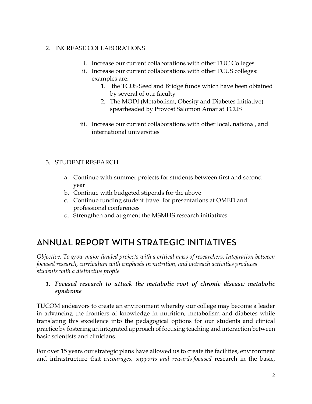### 2. INCREASE COLLABORATIONS

- i. Increase our current collaborations with other TUC Colleges
- ii. Increase our current collaborations with other TCUS colleges: examples are:
	- 1. the TCUS Seed and Bridge funds which have been obtained by several of our faculty
	- 2. The MODI (Metabolism, Obesity and Diabetes Initiative) spearheaded by Provost Salomon Amar at TCUS
- iii. Increase our current collaborations with other local, national, and international universities

### 3. STUDENT RESEARCH

- a. Continue with summer projects for students between first and second year
- b. Continue with budgeted stipends for the above
- c. Continue funding student travel for presentations at OMED and professional conferences
- d. Strengthen and augment the MSMHS research initiatives

## ANNUAL REPORT WITH STRATEGIC INITIATIVES

*Objective: To grow major funded projects with a critical mass of researchers. Integration between focused research, curriculum with emphasis in nutrition, and outreach activities produces students with a distinctive profile.*

### *1. Focused research to attack the metabolic root of chronic disease: metabolic syndrome*

TUCOM endeavors to create an environment whereby our college may become a leader in advancing the frontiers of knowledge in nutrition, metabolism and diabetes while translating this excellence into the pedagogical options for our students and clinical practice by fostering an integrated approach of focusing teaching and interaction between basic scientists and clinicians.

For over 15 years our strategic plans have allowed us to create the facilities, environment and infrastructure that *encourages, supports and rewards focused* research in the basic,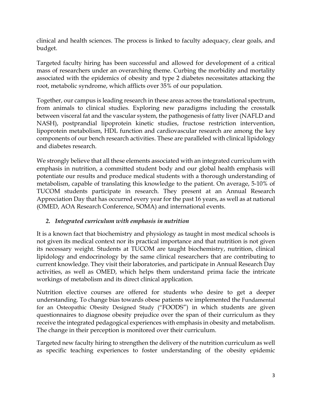clinical and health sciences. The process is linked to faculty adequacy, clear goals, and budget.

Targeted faculty hiring has been successful and allowed for development of a critical mass of researchers under an overarching theme. Curbing the morbidity and mortality associated with the epidemics of obesity and type 2 diabetes necessitates attacking the root, metabolic syndrome, which afflicts over 35% of our population.

Together, our campus is leading research in these areas across the translational spectrum, from animals to clinical studies. Exploring new paradigms including the crosstalk between visceral fat and the vascular system, the pathogenesis of fatty liver (NAFLD and NASH), postprandial lipoprotein kinetic studies, fructose restriction intervention, lipoprotein metabolism, HDL function and cardiovascular research are among the key components of our bench research activities. These are paralleled with clinical lipidology and diabetes research.

We strongly believe that all these elements associated with an integrated curriculum with emphasis in nutrition, a committed student body and our global health emphasis will potentiate our results and produce medical students with a thorough understanding of metabolism, capable of translating this knowledge to the patient. On average, 5-10% of TUCOM students participate in research. They present at an Annual Research Appreciation Day that has occurred every year for the past 16 years, as well as at national (OMED, AOA Research Conference, SOMA) and international events.

### *2. Integrated curriculum with emphasis in nutrition*

It is a known fact that biochemistry and physiology as taught in most medical schools is not given its medical context nor its practical importance and that nutrition is not given its necessary weight. Students at TUCOM are taught biochemistry, nutrition, clinical lipidology and endocrinology by the same clinical researchers that are contributing to current knowledge. They visit their laboratories, and participate in Annual Research Day activities, as well as OMED, which helps them understand prima facie the intricate workings of metabolism and its direct clinical application.

Nutrition elective courses are offered for students who desire to get a deeper understanding. To change bias towards obese patients we implemented the Fundamental for an Osteopathic Obesity Designed Study ("FOODS") in which students are given questionnaires to diagnose obesity prejudice over the span of their curriculum as they receive the integrated pedagogical experiences with emphasis in obesity and metabolism. The change in their perception is monitored over their curriculum.

Targeted new faculty hiring to strengthen the delivery of the nutrition curriculum as well as specific teaching experiences to foster understanding of the obesity epidemic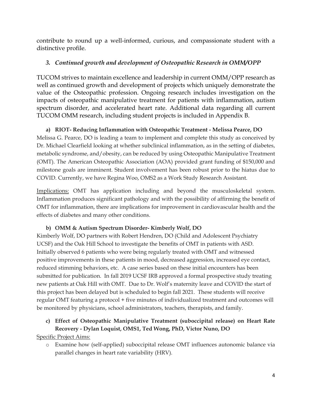contribute to round up a well-informed, curious, and compassionate student with a distinctive profile.

### *3. Continued growth and development of Osteopathic Research in OMM/OPP*

TUCOM strives to maintain excellence and leadership in current OMM/OPP research as well as continued growth and development of projects which uniquely demonstrate the value of the Osteopathic profession. Ongoing research includes investigation on the impacts of osteopathic manipulative treatment for patients with inflammation, autism spectrum disorder, and accelerated heart rate. Additional data regarding all current TUCOM OMM research, including student projects is included in Appendix B.

### **a) RIOT- Reducing Inflammation with Osteopathic Treatment - Melissa Pearce, DO**

Melissa G. Pearce, DO is leading a team to implement and complete this study as conceived by Dr. Michael Clearfield looking at whether subclinical inflammation, as in the setting of diabetes, metabolic syndrome, and/obesity, can be reduced by using Osteopathic Manipulative Treatment (OMT). The American Osteopathic Association (AOA) provided grant funding of \$150,000 and milestone goals are imminent. Student involvement has been robust prior to the hiatus due to COVID. Currently, we have Regina Woo, OMS2 as a Work Study Research Assistant.

Implications: OMT has application including and beyond the musculoskeletal system. Inflammation produces significant pathology and with the possibility of affirming the benefit of OMT for inflammation, there are implications for improvement in cardiovascular health and the effects of diabetes and many other conditions.

### **b) OMM & Autism Spectrum Disorder- Kimberly Wolf, DO**

Kimberly Wolf, DO partners with Robert Hendren, DO (Child and Adolescent Psychiatry UCSF) and the Oak Hill School to investigate the benefits of OMT in patients with ASD. Initially observed 6 patients who were being regularly treated with OMT and witnessed positive improvements in these patients in mood, decreased aggression, increased eye contact, reduced stimming behaviors, etc. A case series based on these initial encounters has been submitted for publication. In fall 2019 UCSF IRB approved a formal prospective study treating new patients at Oak Hill with OMT. Due to Dr. Wolf's maternity leave and COVID the start of this project has been delayed but is scheduled to begin fall 2021. These students will receive regular OMT featuring a protocol + five minutes of individualized treatment and outcomes will be monitored by physicians, school administrators, teachers, therapists, and family.

### **c) Effect of Osteopathic Manipulative Treatment (suboccipital release) on Heart Rate Recovery - Dylan Loquist, OMS1, Ted Wong, PhD, Victor Nuno, DO**

Specific Project Aims:

o Examine how (self-applied) suboccipital release OMT influences autonomic balance via parallel changes in heart rate variability (HRV).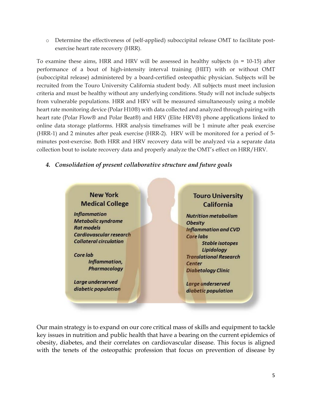o Determine the effectiveness of (self-applied) suboccipital release OMT to facilitate postexercise heart rate recovery (HRR).

To examine these aims, HRR and HRV will be assessed in healthy subjects ( $n = 10-15$ ) after performance of a bout of high-intensity interval training (HIIT) with or without OMT (suboccipital release) administered by a board-certified osteopathic physician. Subjects will be recruited from the Touro University California student body. All subjects must meet inclusion criteria and must be healthy without any underlying conditions. Study will not include subjects from vulnerable populations. HRR and HRV will be measured simultaneously using a mobile heart rate monitoring device (Polar H10®) with data collected and analyzed through pairing with heart rate (Polar Flow® and Polar Beat®) and HRV (Elite HRV®) phone applications linked to online data storage platforms. HRR analysis timeframes will be 1 minute after peak exercise (HRR-1) and 2 minutes after peak exercise (HRR-2). HRV will be monitored for a period of 5 minutes post-exercise. Both HRR and HRV recovery data will be analyzed via a separate data collection bout to isolate recovery data and properly analyze the OMT's effect on HRR/HRV.

### *4. Consolidation of present collaborative structure and future goals*



Our main strategy is to expand on our core critical mass of skills and equipment to tackle key issues in nutrition and public health that have a bearing on the current epidemics of obesity, diabetes, and their correlates on cardiovascular disease. This focus is aligned with the tenets of the osteopathic profession that focus on prevention of disease by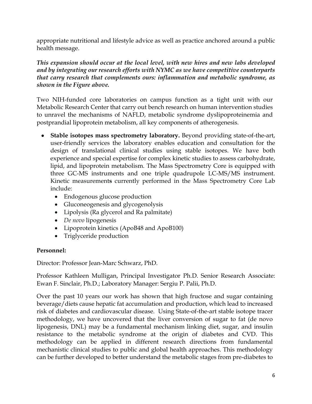appropriate nutritional and lifestyle advice as well as practice anchored around a public health message.

*This expansion should occur at the local level, with new hires and new labs developed and by integrating our research efforts with NYMC as we have competitive counterparts that carry research that complements ours: inflammation and metabolic syndrome, as shown in the Figure above.*

Two NIH-funded core laboratories on campus function as a tight unit with our Metabolic Research Center that carry out bench research on human intervention studies to unravel the mechanisms of NAFLD, metabolic syndrome dyslipoproteinemia and postprandial lipoprotein metabolism, all key components of atherogenesis.

- **Stable isotopes mass spectrometry laboratory.** Beyond providing state-of-the-art, user-friendly services the laboratory enables education and consultation for the design of translational clinical studies using stable isotopes. We have both experience and special expertise for complex kinetic studies to assess carbohydrate, lipid, and lipoprotein metabolism. The Mass Spectrometry Core is equipped with three GC-MS instruments and one triple quadrupole LC-MS/MS instrument. Kinetic measurement**s** currently performed in the Mass Spectrometry Core Lab include:
	- Endogenous glucose production
	- Gluconeogenesis and glycogenolysis
	- Lipolysis (Ra glycerol and Ra palmitate)
	- *De novo* lipogenesis
	- Lipoprotein kinetics (ApoB48 and ApoB100)
	- Triglyceride production

### **Personnel:**

Director: Professor Jean-Marc Schwarz, PhD.

Professor Kathleen Mulligan, Principal Investigator Ph.D. Senior Research Associate: Ewan F. Sinclair, Ph.D.; Laboratory Manager: Sergiu P. Palii, Ph.D.

Over the past 10 years our work has shown that high fructose and sugar containing beverage/diets cause hepatic fat accumulation and production, which lead to increased risk of diabetes and cardiovascular disease. Using State-of-the-art stable isotope tracer methodology, we have uncovered that the liver conversion of sugar to fat (de novo lipogenesis, DNL) may be a fundamental mechanism linking diet, sugar, and insulin resistance to the metabolic syndrome at the origin of diabetes and CVD. This methodology can be applied in different research directions from fundamental mechanistic clinical studies to public and global health approaches. This methodology can be further developed to better understand the metabolic stages from pre-diabetes to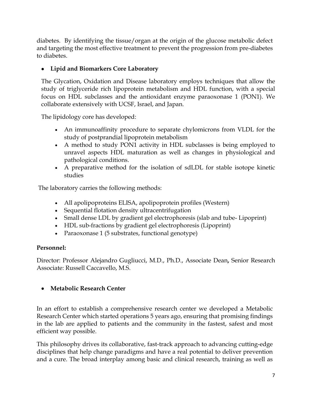diabetes. By identifying the tissue/organ at the origin of the glucose metabolic defect and targeting the most effective treatment to prevent the progression from pre-diabetes to diabetes.

### • **Lipid and Biomarkers Core Laboratory**

The Glycation, Oxidation and Disease laboratory employs techniques that allow the study of triglyceride rich lipoprotein metabolism and HDL function, with a special focus on HDL subclasses and the antioxidant enzyme paraoxonase 1 (PON1). We collaborate extensively with UCSF, Israel, and Japan.

The lipidology core has developed:

- An immunoaffinity procedure to separate chylomicrons from VLDL for the study of postprandial lipoprotein metabolism
- A method to study PON1 activity in HDL subclasses is being employed to unravel aspects HDL maturation as well as changes in physiological and pathological conditions.
- A preparative method for the isolation of sdLDL for stable isotope kinetic studies

The laboratory carries the following methods:

- All apolipoproteins ELISA, apolipoprotein profiles (Western)
- Sequential flotation density ultracentrifugation
- Small dense LDL by gradient gel electrophoresis (slab and tube- Lipoprint)
- HDL sub-fractions by gradient gel electrophoresis (Lipoprint)
- Paraoxonase 1 (5 substrates, functional genotype)

### **Personnel:**

Director: Professor Alejandro Gugliucci, M.D., Ph.D., Associate Dean**,** Senior Research Associate: Russell Caccavello, M.S.

### • **Metabolic Research Center**

In an effort to establish a comprehensive research center we developed a Metabolic Research Center which started operations 5 years ago, ensuring that promising findings in the lab are applied to patients and the community in the fastest, safest and most efficient way possible.

This philosophy drives its collaborative, fast-track approach to advancing cutting-edge disciplines that help change paradigms and have a real potential to deliver prevention and a cure. The broad interplay among basic and clinical research, training as well as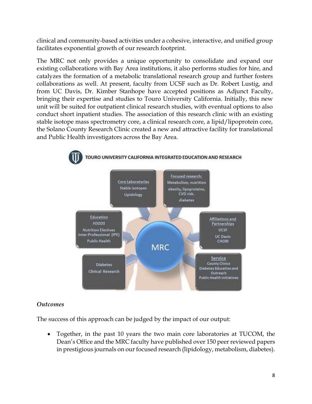clinical and community-based activities under a cohesive, interactive, and unified group facilitates exponential growth of our research footprint.

The MRC not only provides a unique opportunity to consolidate and expand our existing collaborations with Bay Area institutions, it also performs studies for hire, and catalyzes the formation of a metabolic translational research group and further fosters collaborations as well. At present, faculty from UCSF such as Dr. Robert Lustig, and from UC Davis, Dr. Kimber Stanhope have accepted positions as Adjunct Faculty, bringing their expertise and studies to Touro University California. Initially, this new unit will be suited for outpatient clinical research studies, with eventual options to also conduct short inpatient studies. The association of this research clinic with an existing stable isotope mass spectrometry core, a clinical research core, a lipid/lipoprotein core, the Solano County Research Clinic created a new and attractive facility for translational and Public Health investigators across the Bay Area.



### *Outcomes*

The success of this approach can be judged by the impact of our output:

• Together, in the past 10 years the two main core laboratories at TUCOM, the Dean's Office and the MRC faculty have published over 150 peer reviewed papers in prestigious journals on our focused research (lipidology, metabolism, diabetes).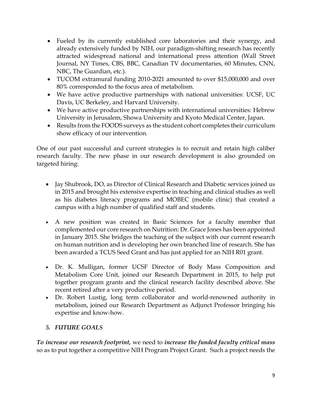- Fueled by its currently established core laboratories and their synergy, and already extensively funded by NIH, our paradigm-shifting research has recently attracted widespread national and international press attention (Wall Street Journal, NY Times, CBS, BBC, Canadian TV documentaries, 60 Minutes, CNN, NBC, The Guardian, etc.).
- TUCOM extramural funding 2010-2021 amounted to over \$15,000,000 and over 80% corresponded to the focus area of metabolism.
- We have active productive partnerships with national universities: UCSF, UC Davis, UC Berkeley, and Harvard University.
- We have active productive partnerships with international universities: Hebrew University in Jerusalem, Showa University and Kyoto Medical Center, Japan.
- Results from the FOODS surveys as the student cohort completes their curriculum show efficacy of our intervention.

One of our past successful and current strategies is to recruit and retain high caliber research faculty. The new phase in our research development is also grounded on targeted hiring:

- Jay Shubrook, DO, as Director of Clinical Research and Diabetic services joined us in 2015 and brought his extensive expertise in teaching and clinical studies as well as his diabetes literacy programs and MOBEC (mobile clinic) that created a campus with a high number of qualified staff and students.
- A new position was created in Basic Sciences for a faculty member that complemented our core research on Nutrition: Dr. Grace Jones has been appointed in January 2015. She bridges the teaching of the subject with our current research on human nutrition and is developing her own branched line of research. She has been awarded a TCUS Seed Grant and has just applied for an NIH R01 grant.
- [Dr. K. Mulligan,](http://www.tu.edu/faculty_staff/mulligan_kathleen.prof.html) former UCSF Director of Body Mass Composition and Metabolism Core Unit, joined our Research Department in 2015, to help put together program grants and the clinical research facility described above. She recent retired after a very productive period.
- Dr. Robert Lustig, long term collaborator and world-renowned authority in metabolism, joined our Research Department as Adjunct Professor bringing his expertise and know-how.

### *5. FUTURE GOALS*

*To increase our research footprint,* we need to *increase the funded faculty critical mass* so as to put together a competitive NIH Program Project Grant. Such a project needs the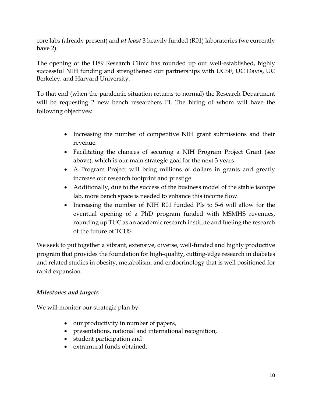core labs (already present) and *at least* 3 heavily funded (R01) laboratories (we currently have 2).

The opening of the H89 Research Clinic has rounded up our well-established, highly successful NIH funding and strengthened our partnerships with UCSF, UC Davis, UC Berkeley, and Harvard University.

To that end (when the pandemic situation returns to normal) the Research Department will be requesting 2 new bench researchers PI. The hiring of whom will have the following objectives:

- Increasing the number of competitive NIH grant submissions and their revenue.
- Facilitating the chances of securing a NIH Program Project Grant (see above), which is our main strategic goal for the next 3 years
- A Program Project will bring millions of dollars in grants and greatly increase our research footprint and prestige.
- Additionally, due to the success of the business model of the stable isotope lab, more bench space is needed to enhance this income flow.
- Increasing the number of NIH R01 funded PIs to 5-6 will allow for the eventual opening of a PhD program funded with MSMHS revenues, rounding up TUC as an academic research institute and fueling the research of the future of TCUS.

We seek to put together a vibrant, extensive, diverse, well-funded and highly productive program that provides the foundation for high-quality, cutting-edge research in diabetes and related studies in obesity, metabolism, and endocrinology that is well positioned for rapid expansion.

### *Milestones and targets*

We will monitor our strategic plan by:

- our productivity in number of papers,
- presentations, national and international recognition,
- student participation and
- extramural funds obtained.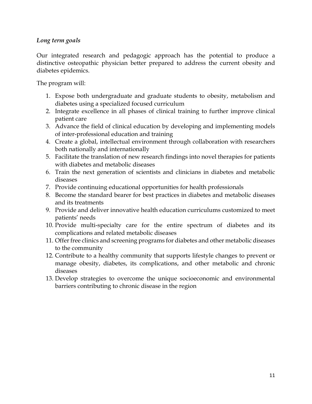### *Long term goals*

Our integrated research and pedagogic approach has the potential to produce a distinctive osteopathic physician better prepared to address the current obesity and diabetes epidemics.

The program will:

- 1. Expose both undergraduate and graduate students to obesity, metabolism and diabetes using a specialized focused curriculum
- 2. Integrate excellence in all phases of clinical training to further improve clinical patient care
- 3. Advance the field of clinical education by developing and implementing models of inter-professional education and training
- 4. Create a global, intellectual environment through collaboration with researchers both nationally and internationally
- 5. Facilitate the translation of new research findings into novel therapies for patients with diabetes and metabolic diseases
- 6. Train the next generation of scientists and clinicians in diabetes and metabolic diseases
- 7. Provide continuing educational opportunities for health professionals
- 8. Become the standard bearer for best practices in diabetes and metabolic diseases and its treatments
- 9. Provide and deliver innovative health education curriculums customized to meet patients' needs
- 10. Provide multi-specialty care for the entire spectrum of diabetes and its complications and related metabolic diseases
- 11. Offer free clinics and screening programs for diabetes and other metabolic diseases to the community
- 12. Contribute to a healthy community that supports lifestyle changes to prevent or manage obesity, diabetes, its complications, and other metabolic and chronic diseases
- 13. Develop strategies to overcome the unique socioeconomic and environmental barriers contributing to chronic disease in the region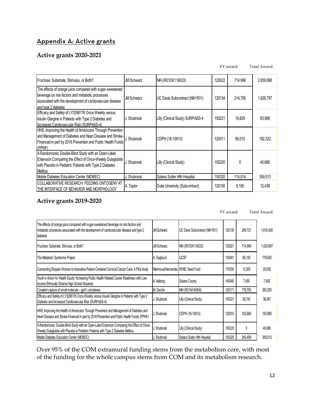### Appendix A: Active grants

### **Active grants 2020-2021**

FY award Total Award

| Fructose: Substrate, Stimulus, or Both?                                                                                                                                                           | <b>JM Schwarz</b> | NIH (R01DK116033)                | 120022 | 714,999      | 2,859,996 |
|---------------------------------------------------------------------------------------------------------------------------------------------------------------------------------------------------|-------------------|----------------------------------|--------|--------------|-----------|
| The effects of orange juice compared with sugar-sweetened<br>beverage on risk factors and metabolic processes<br>associated with the development of cardiovascular disease<br>and type 2 diabetes | <b>JM Schwarz</b> | UC Davis Subcontract (NIH R01)   | 120134 | 214,785      | 1,626,797 |
| Efficacy and Safety of LY3298176 Once Weekly versus<br>Insulin Glargine in Patients with Type 2 Diabetes and<br>Increased Cardiovascular Risk (SURPASS-4)                                         | J. Shubrook       | Lilly (Clinical Study) SURPASS-4 | 150221 | 19,829       | 83,988    |
| HHS: Improving the Health of Americans Through Prevention<br>and Management of Diabetes and Heart Disease and Stroke-<br>Financed in part by 2018 Prevention and Public Health Funds<br>(PPHF)    | J. Shubrook       | CDPH (18-10913)                  | 120011 | 89,015       | 192,322   |
| A Randomized, Double-Blind Study with an Open-Label<br>Extension Comparing the Effect of Once-Weekly Dulaglutide<br>with Placebo in Pediatric Patients with Type 2 Diabetes<br><b>Mellitus</b>    | J. Shubrook       | Lilly (Clinical Study)           | 150220 | <sup>0</sup> | 40,680    |
| Mobile Diabetes Education Center (MOBEC)                                                                                                                                                          | J. Shubrook       | Solano Sutter Hith Hospital      | 150320 | 114,014      | 359,513   |
| COLLABORATIVE RESEARCH: FEEDING ONTOGENY AT<br>THE INTERFACE OF BEHAVIOR AND MORPHOLOGY                                                                                                           | A. Taylor         | Duke University (Subcontract)    | 120150 | 6,180        | 12,438    |

### **Active grants 2019-2020**

|                                                                                                                                                                                                |                                  |                                | FY award |         | Total Award |  |
|------------------------------------------------------------------------------------------------------------------------------------------------------------------------------------------------|----------------------------------|--------------------------------|----------|---------|-------------|--|
| The effects of orange juice compared with sugar-sweetened beverage on risk factors and<br>metabolic processes associated with the development of cardiovascular disease and type 2<br>diabetes | <b>JM Schwarz</b>                | UC Davis Subcontract (NIH R01) | 120130   | 299,721 | 1,616,426   |  |
| Fructose: Substrate, Stimulus, or Both?                                                                                                                                                        | <b>JM Schwarz</b>                | NIH (R01DK116033)              | 120021   | 714,999 | 1,429,997   |  |
| The Metabolic Syndrome Project                                                                                                                                                                 | A. Gugliucci                     | <b>UCSF</b>                    | 130041   | 66,100  | 178,600     |  |
| Connecting Etiopian Women to Innovative Patient-Centered Cervical Cancer Care: A Pilot study                                                                                                   | Mahmoud/Hernandez NYMC Seed Fund |                                | 170030   | 12,500  | 25,000      |  |
| Youth in Action for Health Equity: Increasing Public Health Related Career Readiness with Low-<br>Income Ethnically Diverse High School Students                                               | A. Aalborg                       | Solano County                  | 140040   | 7,450   | 7,450       |  |
| Covalent capture of small molecule – qp41 complexes                                                                                                                                            | M. Gochin                        | NIH (R21AI140904)              | 120171   | 178.750 | 393,250     |  |
| Efficacy and Safety of LY3298176 Once Weekly versus Insulin Glargine in Patients with Type 2<br>Diabetes and Increased Cardiovascular Risk (SURPASS-4)                                         | J. Shubrook                      | Lilly (Clinical Study)         | 150221   | 26,742  | 38,361      |  |
| HHS: Improving the Health of Americans Through Prevention and Management of Diabetes and<br>Heart Disease and Stroke-Financed in part by 2018 Prevention and Public Health Funds (PPHF)        | J. Shubrook                      | CDPH (18-10913)                | 120010   | 120,680 | 120,680     |  |
| A Randomized, Double-Blind Study with an Open-Label Extension Comparing the Effect of Once-<br>Weekly Dulaglutide with Placebo in Pediatric Patients with Type 2 Diabetes Mellitus             | J. Shubrook                      | Lilly (Clinical Study)         | 150220   | 0       | 40,680      |  |
| Mobile Diabetes Education Center (MOBEC)                                                                                                                                                       | J. Shubrook                      | Solano Sutter Hith Hospital    | 150320   | 245.499 | 359,513     |  |

Over 95% of the COM extramural funding stems from the metabolism core, with most of the funding for the whole campus stems from COM and its metabolism research.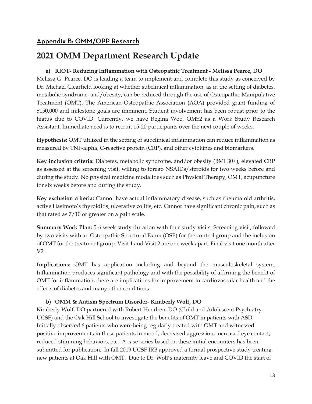### Appendix B: OMM/OPP Research

### **2021 OMM Department Research Update**

### **a) RIOT- Reducing Inflammation with Osteopathic Treatment - Melissa Pearce, DO**

Melissa G. Pearce, DO is leading a team to implement and complete this study as conceived by Dr. Michael Clearfield looking at whether subclinical inflammation, as in the setting of diabetes, metabolic syndrome, and/obesity, can be reduced through the use of Osteopathic Manipulative Treatment (OMT). The American Osteopathic Association (AOA) provided grant funding of \$150,000 and milestone goals are imminent. Student involvement has been robust prior to the hiatus due to COVID. Currently, we have Regina Woo, OMS2 as a Work Study Research Assistant. Immediate need is to recruit 15-20 participants over the next couple of weeks.

**Hypothesis:** OMT utilized in the setting of subclinical inflammation can reduce inflammation as measured by TNF-alpha, C-reactive protein (CRP), and other cytokines and biomarkers.

**Key inclusion criteria:** Diabetes, metabolic syndrome, and/or obesity (BMI 30+), elevated CRP as assessed at the screening visit, willing to forego NSAIDs/steroids for two weeks before and during the study. No physical medicine modalities such as Physical Therapy, OMT, acupuncture for six weeks before and during the study.

**Key exclusion criteria:** Cannot have actual inflammatory disease, such as rheumatoid arthritis, active Hasimoto's thyroiditis, ulcerative colitis, etc. Cannot have significant chronic pain, such as that rated as 7/10 or greater on a pain scale.

**Summary Work Plan:** 5-6 week study duration with four study visits. Screening visit, followed by two visits with an Osteopathic Structural Exam (OSE) for the control group and the inclusion of OMT for the treatment group. Visit 1 and Visit 2 are one week apart. Final visit one month after V2.

**Implications:** OMT has application including and beyond the musculoskeletal system. Inflammation produces significant pathology and with the possibility of affirming the benefit of OMT for inflammation, there are implications for improvement in cardiovascular health and the effects of diabetes and many other conditions.

### **b) OMM & Autism Spectrum Disorder- Kimberly Wolf, DO**

Kimberly Wolf, DO partnered with Robert Hendren, DO (Child and Adolescent Psychiatry UCSF) and the Oak Hill School to investigate the benefits of OMT in patients with ASD. Initially observed 6 patients who were being regularly treated with OMT and witnessed positive improvements in these patients in mood, decreased aggression, increased eye contact, reduced stimming behaviors, etc. A case series based on these initial encounters has been submitted for publication. In fall 2019 UCSF IRB approved a formal prospective study treating new patients at Oak Hill with OMT. Due to Dr. Wolf's maternity leave and COVID the start of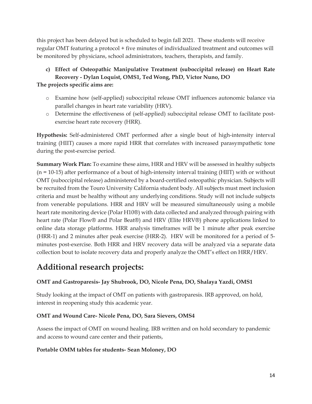this project has been delayed but is scheduled to begin fall 2021. These students will receive regular OMT featuring a protocol + five minutes of individualized treatment and outcomes will be monitored by physicians, school administrators, teachers, therapists, and family.

### **c) Effect of Osteopathic Manipulative Treatment (suboccipital release) on Heart Rate Recovery - Dylan Loquist, OMS1, Ted Wong, PhD, Victor Nuno, DO**

### **The projects specific aims are:**

- o Examine how (self-applied) suboccipital release OMT influences autonomic balance via parallel changes in heart rate variability (HRV).
- o Determine the effectiveness of (self-applied) suboccipital release OMT to facilitate postexercise heart rate recovery (HRR).

**Hypothesis:** Self-administered OMT performed after a single bout of high-intensity interval training (HIIT) causes a more rapid HRR that correlates with increased parasympathetic tone during the post-exercise period.

**Summary Work Plan:** To examine these aims, HRR and HRV will be assessed in healthy subjects (n = 10-15) after performance of a bout of high-intensity interval training (HIIT) with or without OMT (suboccipital release) administered by a board-certified osteopathic physician. Subjects will be recruited from the Touro University California student body. All subjects must meet inclusion criteria and must be healthy without any underlying conditions. Study will not include subjects from venerable populations. HRR and HRV will be measured simultaneously using a mobile heart rate monitoring device (Polar H10®) with data collected and analyzed through pairing with heart rate (Polar Flow® and Polar Beat®) and HRV (Elite HRV®) phone applications linked to online data storage platforms. HRR analysis timeframes will be 1 minute after peak exercise (HRR-1) and 2 minutes after peak exercise (HRR-2). HRV will be monitored for a period of 5 minutes post-exercise. Both HRR and HRV recovery data will be analyzed via a separate data collection bout to isolate recovery data and properly analyze the OMT's effect on HRR/HRV.

## **Additional research projects:**

### **OMT and Gastroparesis- Jay Shubrook, DO, Nicole Pena, DO, Shalaya Yazdi, OMS1**

Study looking at the impact of OMT on patients with gastroparesis. IRB approved, on hold, interest in reopening study this academic year.

### **OMT and Wound Care- Nicole Pena, DO, Sara Sievers, OMS4**

Assess the impact of OMT on wound healing. IRB written and on hold secondary to pandemic and access to wound care center and their patients,

### **Portable OMM tables for students- Sean Moloney, DO**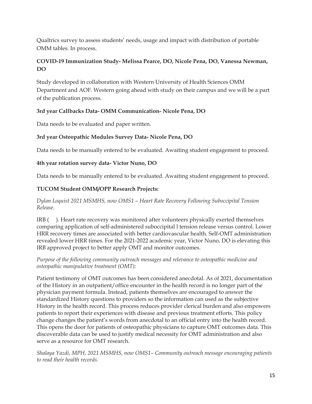Qualtrics survey to assess students' needs, usage and impact with distribution of portable OMM tables. In process.

### **COVID-19 Immunization Study- Melissa Pearce, DO, Nicole Pena, DO, Vanessa Newman, DO**

Study developed in collaboration with Western University of Health Sciences OMM Department and AOF. Western going ahead with study on their campus and we will be a part of the publication process.

### **3rd year Callbacks Data- OMM Communication- Nicole Pena, DO**

Data needs to be evaluated and paper written.

### **3rd year Osteopathic Modules Survey Data- Nicole Pena, DO**

Data needs to be manually entered to be evaluated. Awaiting student engagement to proceed.

### **4th year rotation survey data- Victor Nuno, DO**

Data needs to be manually entered to be evaluated. Awaiting student engagement to proceed.

### **TUCOM Student OMM/OPP Research Projects:**

### *Dylan Loquist 2021 MSMHS, now OMS1 – Heart Rate Recovery Following Suboccipital Tension Release.*

IRB ( ). Heart rate recovery was monitored after volunteers physically exerted themselves comparing application of self-administered suboccipital l tension release versus control. Lower HRR recovery times are associated with better cardiovascular health. Self-OMT administration revealed lower HRR times. For the 2021-2022 academic year, Victor Nuno, DO is elevating this IRB approved project to better apply OMT and monitor outcomes.

### *Purpose of the following community outreach messages and relevance to osteopathic medicine and osteopathic manipulative treatment (OMT):*

Patient testimony of OMT outcomes has been considered anecdotal. As of 2021, documentation of the History in an outpatient/office encounter in the health record is no longer part of the physician payment formula. Instead, patients themselves are encouraged to answer the standardized History questions to providers so the information can used as the subjective History in the health record. This process reduces provider clerical burden and also empowers patients to report their experiences with disease and previous treatment efforts. This policy change changes the patient's words from anecdotal to an official entry into the health record. This opens the door for patients of osteopathic physicians to capture OMT outcomes data. This discoverable data can be used to justify medical necessity for OMT administration and also serve as a resource for OMT research.

*Shalaya Yazdi, MPH, 2021 MSMHS, now OMS1– Community outreach message encouraging patients to read their health records.*